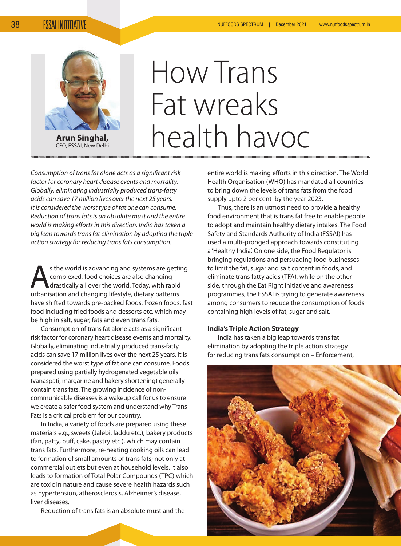

**Arun Singhal,** CEO, FSSAI, New Delhi

# How Trans Fat wreaks health havoc

*Consumption of trans fat alone acts as a significant risk factor for coronary heart disease events and mortality. Globally, eliminating industrially produced trans-fatty acids can save 17 million lives over the next 25 years. It is considered the worst type of fat one can consume. Reduction of trans fats is an absolute must and the entire world is making efforts in this direction. India has taken a big leap towards trans fat elimination by adopting the triple action strategy for reducing trans fats consumption.* 

s the world is advancing and systems are getting complexed, food choices are also changing drastically all over the world. Today, with rapid urbanisation and changing lifestyle, dietary patterns have shifted towards pre-packed foods, frozen foods, fast food including fried foods and desserts etc, which may be high in salt, sugar, fats and even trans fats.

Consumption of trans fat alone acts as a significant risk factor for coronary heart disease events and mortality. Globally, eliminating industrially produced trans-fatty acids can save 17 million lives over the next 25 years. It is considered the worst type of fat one can consume. Foods prepared using partially hydrogenated vegetable oils (vanaspati, margarine and bakery shortening) generally contain trans fats. The growing incidence of noncommunicable diseases is a wakeup call for us to ensure we create a safer food system and understand why Trans Fats is a critical problem for our country.

In India, a variety of foods are prepared using these materials e.g., sweets (Jalebi, laddu etc.), bakery products (fan, patty, puff, cake, pastry etc.), which may contain trans fats. Furthermore, re-heating cooking oils can lead to formation of small amounts of trans fats; not only at commercial outlets but even at household levels. It also leads to formation of Total Polar Compounds (TPC) which are toxic in nature and cause severe health hazards such as hypertension, atherosclerosis, Alzheimer's disease, liver diseases.

Reduction of trans fats is an absolute must and the

entire world is making efforts in this direction. The World Health Organisation (WHO) has mandated all countries to bring down the levels of trans fats from the food supply upto 2 per cent by the year 2023.

Thus, there is an utmost need to provide a healthy food environment that is trans fat free to enable people to adopt and maintain healthy dietary intakes. The Food Safety and Standards Authority of India (FSSAI) has used a multi-pronged approach towards constituting a 'Healthy India'. On one side, the Food Regulator is bringing regulations and persuading food businesses to limit the fat, sugar and salt content in foods, and eliminate trans fatty acids (TFA), while on the other side, through the Eat Right initiative and awareness programmes, the FSSAI is trying to generate awareness among consumers to reduce the consumption of foods containing high levels of fat, sugar and salt.

## **India's Triple Action Strategy**

India has taken a big leap towards trans fat elimination by adopting the triple action strategy for reducing trans fats consumption – Enforcement,

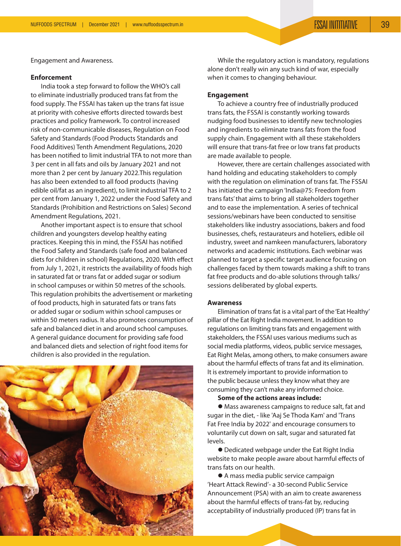Engagement and Awareness.

#### **Enforcement**

India took a step forward to follow the WHO's call to eliminate industrially produced trans fat from the food supply. The FSSAI has taken up the trans fat issue at priority with cohesive efforts directed towards best practices and policy framework. To control increased risk of non-communicable diseases, Regulation on Food Safety and Standards (Food Products Standards and Food Additives) Tenth Amendment Regulations, 2020 has been notified to limit industrial TFA to not more than 3 per cent in all fats and oils by January 2021 and not more than 2 per cent by January 2022.This regulation has also been extended to all food products (having edible oil/fat as an ingredient), to limit industrial TFA to 2 per cent from January 1, 2022 under the Food Safety and Standards (Prohibition and Restrictions on Sales) Second Amendment Regulations, 2021.

Another important aspect is to ensure that school children and youngsters develop healthy eating practices. Keeping this in mind, the FSSAI has notified the Food Safety and Standards (safe food and balanced diets for children in school) Regulations, 2020. With effect from July 1, 2021, it restricts the availability of foods high in saturated fat or trans fat or added sugar or sodium in school campuses or within 50 metres of the schools. This regulation prohibits the advertisement or marketing of food products, high in saturated fats or trans fats or added sugar or sodium within school campuses or within 50 meters radius. It also promotes consumption of safe and balanced diet in and around school campuses. A general guidance document for providing safe food and balanced diets and selection of right food items for children is also provided in the regulation.



While the regulatory action is mandatory, regulations alone don't really win any such kind of war, especially when it comes to changing behaviour.

### **Engagement**

To achieve a country free of industrially produced trans fats, the FSSAI is constantly working towards nudging food businesses to identify new technologies and ingredients to eliminate trans fats from the food supply chain. Engagement with all these stakeholders will ensure that trans-fat free or low trans fat products are made available to people.

However, there are certain challenges associated with hand holding and educating stakeholders to comply with the regulation on elimination of trans fat. The FSSAI has initiated the campaign 'India@75: Freedom from trans fats' that aims to bring all stakeholders together and to ease the implementation. A series of technical sessions/webinars have been conducted to sensitise stakeholders like industry associations, bakers and food businesses, chefs, restaurateurs and hoteliers, edible oil industry, sweet and namkeen manufacturers, laboratory networks and academic institutions. Each webinar was planned to target a specific target audience focusing on challenges faced by them towards making a shift to trans fat free products and do-able solutions through talks/ sessions deliberated by global experts.

### **Awareness**

Elimination of trans fat is a vital part of the 'Eat Healthy' pillar of the Eat Right India movement. In addition to regulations on limiting trans fats and engagement with stakeholders, the FSSAI uses various mediums such as social media platforms, videos, public service messages, Eat Right Melas, among others, to make consumers aware about the harmful effects of trans fat and its elimination. It is extremely important to provide information to the public because unless they know what they are consuming they can't make any informed choice.

#### **Some of the actions areas include:**

 Mass awareness campaigns to reduce salt, fat and sugar in the diet, - like 'Aaj Se Thoda Kam' and 'Trans Fat Free India by 2022' and encourage consumers to voluntarily cut down on salt, sugar and saturated fat levels.

 Dedicated webpage under the Eat Right India website to make people aware about harmful effects of trans fats on our health.

 A mass media public service campaign 'Heart Attack Rewind'- a 30-second Public Service Announcement (PSA) with an aim to create awareness about the harmful effects of trans-fat by, reducing acceptability of industrially produced (IP) trans fat in